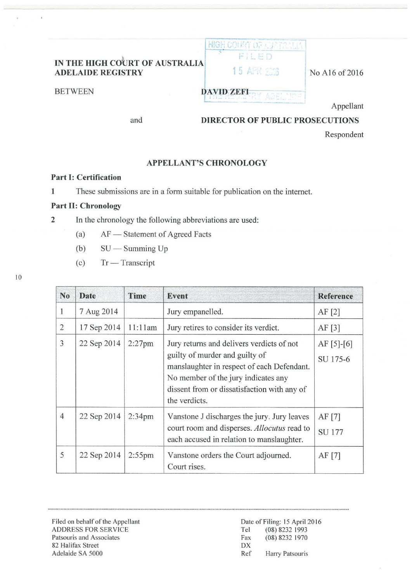# **IN THE HIGH COURT OF AUSTRALIA ADELAIDE REGISTRY 15 APR 2018** No A16 of 2016



BETWEEN **DAVID ZEFI** 

Appellant

and

## **DIRECTOR OF PUBLIC PROSECUTIONS**

Respondent

### **APPELLANT'S CHRONOLOGY**

#### **Part 1: Certification**

**1** These submissions are in a form suitable for publication on the internet.

### **Part II: Chronology**

**2** In the chronology the following abbreviations are used:

- (a) AF Statement of Agreed Facts
- (b)  $SU Summing Up$
- (c) Tr- Transcript

| N <sub>0</sub> | <b>Date</b> | Time               | Event                                                                                                                                                                                                                            | <b>Reference</b>           |
|----------------|-------------|--------------------|----------------------------------------------------------------------------------------------------------------------------------------------------------------------------------------------------------------------------------|----------------------------|
| 1              | 7 Aug 2014  |                    | Jury empanelled.                                                                                                                                                                                                                 | AF[2]                      |
| $\overline{2}$ | 17 Sep 2014 | 11:11am            | Jury retires to consider its verdict.                                                                                                                                                                                            | AF[3]                      |
| 3              | 22 Sep 2014 | $2:27$ pm          | Jury returns and delivers verdicts of not<br>guilty of murder and guilty of<br>manslaughter in respect of each Defendant.<br>No member of the jury indicates any<br>dissent from or dissatisfaction with any of<br>the verdicts. | $AF [5] - [6]$<br>SU 175-6 |
| $\overline{4}$ | 22 Sep 2014 | 2:34 <sub>pm</sub> | Vanstone J discharges the jury. Jury leaves<br>court room and disperses. Allocutus read to<br>each accused in relation to manslaughter.                                                                                          | AF [7]<br><b>SU 177</b>    |
| 5              | 22 Sep 2014 | $2:55$ pm          | Vanstone orders the Court adjourned.<br>Court rises.                                                                                                                                                                             | AF $[7]$                   |

Filed on behalf of the Appellant ADDRESS FOR SERVICE Patsouris and Associates 82 Halifax Street DX Adelaide SA 5000 Ref Harry Patsouris

10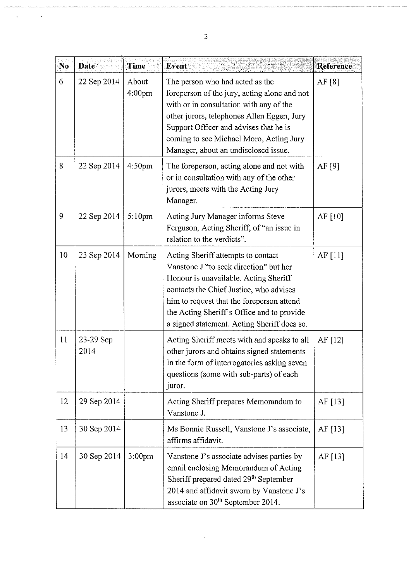| N <sub>0</sub> | <b>Date</b>       | Time                        | Event                                                                                                                                                                                                                                                                                                      | Reference |
|----------------|-------------------|-----------------------------|------------------------------------------------------------------------------------------------------------------------------------------------------------------------------------------------------------------------------------------------------------------------------------------------------------|-----------|
| 6              | 22 Sep 2014       | About<br>4:00 <sub>pm</sub> | The person who had acted as the<br>foreperson of the jury, acting alone and not<br>with or in consultation with any of the<br>other jurors, telephones Allen Eggen, Jury<br>Support Officer and advises that he is<br>coming to see Michael Moro, Acting Jury<br>Manager, about an undisclosed issue.      | AF [8]    |
| 8              | 22 Sep 2014       | 4:50 <sub>pm</sub>          | The foreperson, acting alone and not with<br>or in consultation with any of the other<br>jurors, meets with the Acting Jury<br>Manager.                                                                                                                                                                    | AF $[9]$  |
| 9              | 22 Sep 2014       | $5:10$ pm                   | Acting Jury Manager informs Steve<br>Ferguson, Acting Sheriff, of "an issue in<br>relation to the verdicts".                                                                                                                                                                                               | AF $[10]$ |
| 10             | 23 Sep 2014       | Morning                     | Acting Sheriff attempts to contact<br>Vanstone J "to seek direction" but her<br>Honour is unavailable. Acting Sheriff<br>contacts the Chief Justice, who advises<br>him to request that the foreperson attend<br>the Acting Sheriff's Office and to provide<br>a signed statement. Acting Sheriff does so. | AF $[11]$ |
| 11             | 23-29 Sep<br>2014 |                             | Acting Sheriff meets with and speaks to all<br>other jurors and obtains signed statements<br>in the form of interrogatories asking seven<br>questions (some with sub-parts) of each<br>juror.                                                                                                              | AF $[12]$ |
| 12             | 29 Sep 2014       |                             | Acting Sheriff prepares Memorandum to<br>Vanstone J.                                                                                                                                                                                                                                                       | AF [13]   |
| 13             | 30 Sep 2014       |                             | Ms Bonnie Russell, Vanstone J's associate,<br>affirms affidavit.                                                                                                                                                                                                                                           | AF [13]   |
| 14             | 30 Sep 2014       | 3:00 <sub>pm</sub>          | Vanstone J's associate advises parties by<br>email enclosing Memorandum of Acting<br>Sheriff prepared dated 29 <sup>th</sup> September<br>2014 and affidavit sworn by Vanstone J's<br>associate on 30 <sup>th</sup> September 2014.                                                                        | AF $[13]$ |

 $\ddot{\phantom{0}}$ 

l,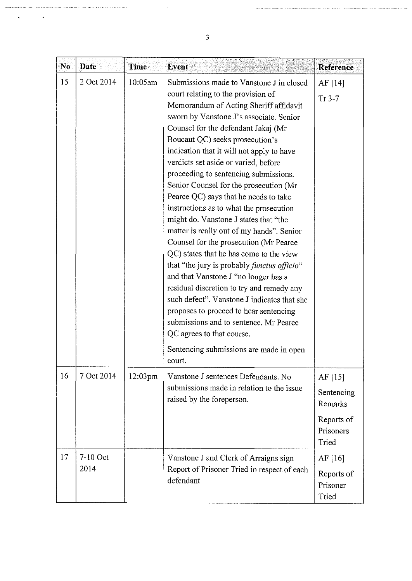| N <sub>0</sub> | <b>Date</b>      | <b>Time</b> | <b>Event</b>                                                                                                                                                                                                                                                                                                                                                                                                                                                                                                                                                                                                                                                                                                                                                                                                                                                                                                                                                                                                                                          | Reference                                                              |
|----------------|------------------|-------------|-------------------------------------------------------------------------------------------------------------------------------------------------------------------------------------------------------------------------------------------------------------------------------------------------------------------------------------------------------------------------------------------------------------------------------------------------------------------------------------------------------------------------------------------------------------------------------------------------------------------------------------------------------------------------------------------------------------------------------------------------------------------------------------------------------------------------------------------------------------------------------------------------------------------------------------------------------------------------------------------------------------------------------------------------------|------------------------------------------------------------------------|
| 15             | 2 Oct 2014       | 10:05am     | Submissions made to Vanstone J in closed<br>court relating to the provision of<br>Memorandum of Acting Sheriff affidavit<br>sworn by Vanstone J's associate. Senior<br>Counsel for the defendant Jakaj (Mr<br>Boucaut QC) seeks prosecution's<br>indication that it will not apply to have<br>verdicts set aside or varied, before<br>proceeding to sentencing submissions.<br>Senior Counsel for the prosecution (Mr<br>Pearce QC) says that he needs to take<br>instructions as to what the prosecution<br>might do. Vanstone J states that "the<br>matter is really out of my hands". Senior<br>Counsel for the prosecution (Mr Pearce<br>QC) states that he has come to the view<br>that "the jury is probably <i>functus officio</i> "<br>and that Vanstone J "no longer has a<br>residual discretion to try and remedy any<br>such defect". Vanstone J indicates that she<br>proposes to proceed to hear sentencing<br>submissions and to sentence. Mr Pearce<br>QC agrees to that course.<br>Sentencing submissions are made in open<br>court. | AF [14]<br>$Tr 3-7$                                                    |
| 16             | 7 Oct 2014       | 12:03pm     | Vanstone J sentences Defendants. No<br>submissions made in relation to the issue<br>raised by the foreperson.                                                                                                                                                                                                                                                                                                                                                                                                                                                                                                                                                                                                                                                                                                                                                                                                                                                                                                                                         | AF $[15]$<br>Sentencing<br>Remarks<br>Reports of<br>Prisoners<br>Tried |
| 17             | 7-10 Oct<br>2014 |             | Vanstone J and Clerk of Arraigns sign<br>Report of Prisoner Tried in respect of each<br>defendant                                                                                                                                                                                                                                                                                                                                                                                                                                                                                                                                                                                                                                                                                                                                                                                                                                                                                                                                                     | AF $[16]$<br>Reports of<br>Prisoner<br>Tried                           |